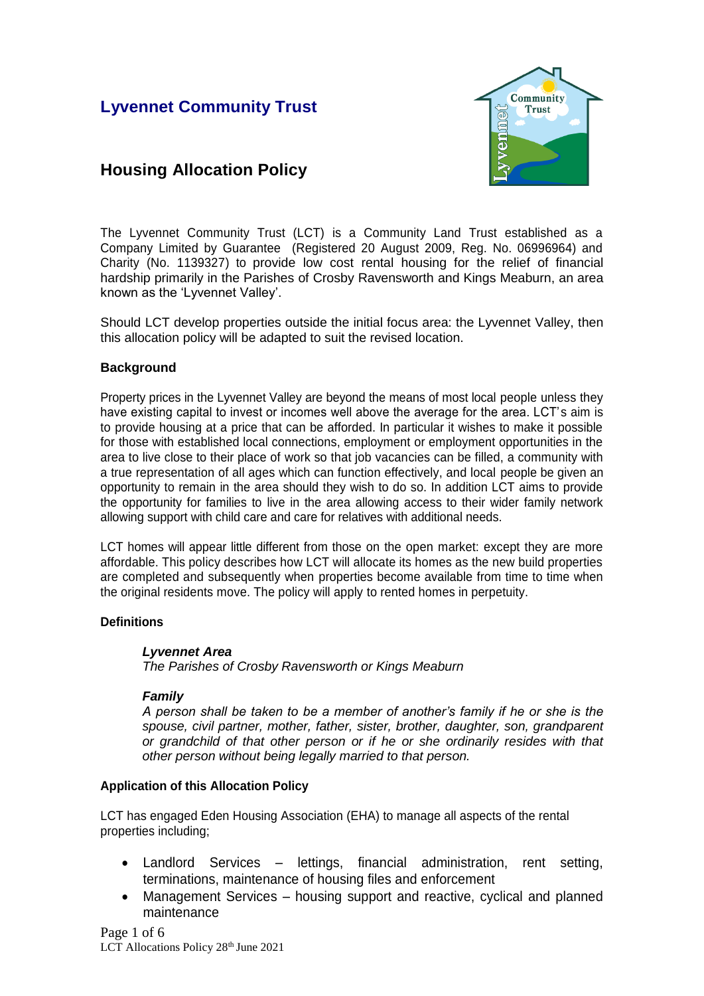# **Lyvennet Community Trust**



# **Housing Allocation Policy**

The Lyvennet Community Trust (LCT) is a Community Land Trust established as a Company Limited by Guarantee (Registered 20 August 2009, Reg. No. 06996964) and Charity (No. 1139327) to provide low cost rental housing for the relief of financial hardship primarily in the Parishes of Crosby Ravensworth and Kings Meaburn, an area known as the 'Lyvennet Valley'.

Should LCT develop properties outside the initial focus area: the Lyvennet Valley, then this allocation policy will be adapted to suit the revised location.

# **Background**

Property prices in the Lyvennet Valley are beyond the means of most local people unless they have existing capital to invest or incomes well above the average for the area. LCT's aim is to provide housing at a price that can be afforded. In particular it wishes to make it possible for those with established local connections, employment or employment opportunities in the area to live close to their place of work so that job vacancies can be filled, a community with a true representation of all ages which can function effectively, and local people be given an opportunity to remain in the area should they wish to do so. In addition LCT aims to provide the opportunity for families to live in the area allowing access to their wider family network allowing support with child care and care for relatives with additional needs.

LCT homes will appear little different from those on the open market: except they are more affordable. This policy describes how LCT will allocate its homes as the new build properties are completed and subsequently when properties become available from time to time when the original residents move. The policy will apply to rented homes in perpetuity.

# **Definitions**

# *Lyvennet Area*

*The Parishes of Crosby Ravensworth or Kings Meaburn*

# *Family*

*A person shall be taken to be a member of another's family if he or she is the spouse, civil partner, mother, father, sister, brother, daughter, son, grandparent or grandchild of that other person or if he or she ordinarily resides with that other person without being legally married to that person.* 

# **Application of this Allocation Policy**

LCT has engaged Eden Housing Association (EHA) to manage all aspects of the rental properties including;

- Landlord Services lettings, financial administration, rent setting, terminations, maintenance of housing files and enforcement
- Management Services housing support and reactive, cyclical and planned maintenance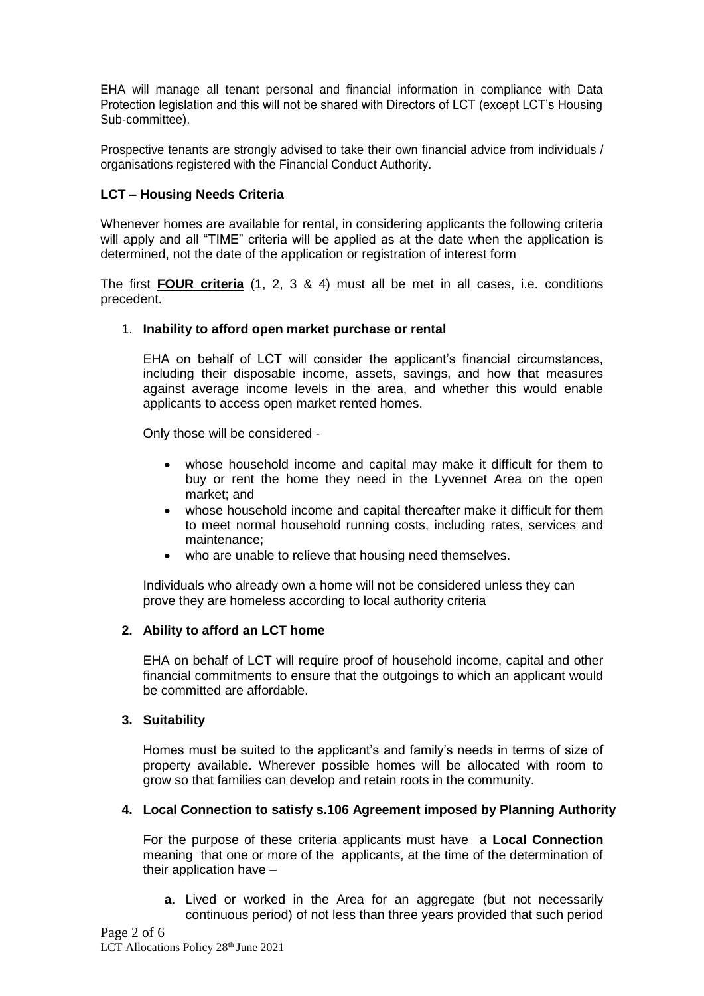EHA will manage all tenant personal and financial information in compliance with Data Protection legislation and this will not be shared with Directors of LCT (except LCT's Housing Sub-committee).

Prospective tenants are strongly advised to take their own financial advice from individuals / organisations registered with the Financial Conduct Authority.

# **LCT – Housing Needs Criteria**

Whenever homes are available for rental, in considering applicants the following criteria will apply and all "TIME" criteria will be applied as at the date when the application is determined, not the date of the application or registration of interest form

The first **FOUR criteria** (1, 2, 3 & 4) must all be met in all cases, i.e. conditions precedent.

# 1. **Inability to afford open market purchase or rental**

EHA on behalf of LCT will consider the applicant's financial circumstances, including their disposable income, assets, savings, and how that measures against average income levels in the area, and whether this would enable applicants to access open market rented homes.

Only those will be considered -

- whose household income and capital may make it difficult for them to buy or rent the home they need in the Lyvennet Area on the open market; and
- whose household income and capital thereafter make it difficult for them to meet normal household running costs, including rates, services and maintenance;
- who are unable to relieve that housing need themselves.

Individuals who already own a home will not be considered unless they can prove they are homeless according to local authority criteria

# **2. Ability to afford an LCT home**

EHA on behalf of LCT will require proof of household income, capital and other financial commitments to ensure that the outgoings to which an applicant would be committed are affordable.

### **3. Suitability**

Homes must be suited to the applicant's and family's needs in terms of size of property available. Wherever possible homes will be allocated with room to grow so that families can develop and retain roots in the community.

# **4. Local Connection to satisfy s.106 Agreement imposed by Planning Authority**

For the purpose of these criteria applicants must have a **Local Connection**  meaning that one or more of the applicants, at the time of the determination of their application have –

**a.** Lived or worked in the Area for an aggregate (but not necessarily continuous period) of not less than three years provided that such period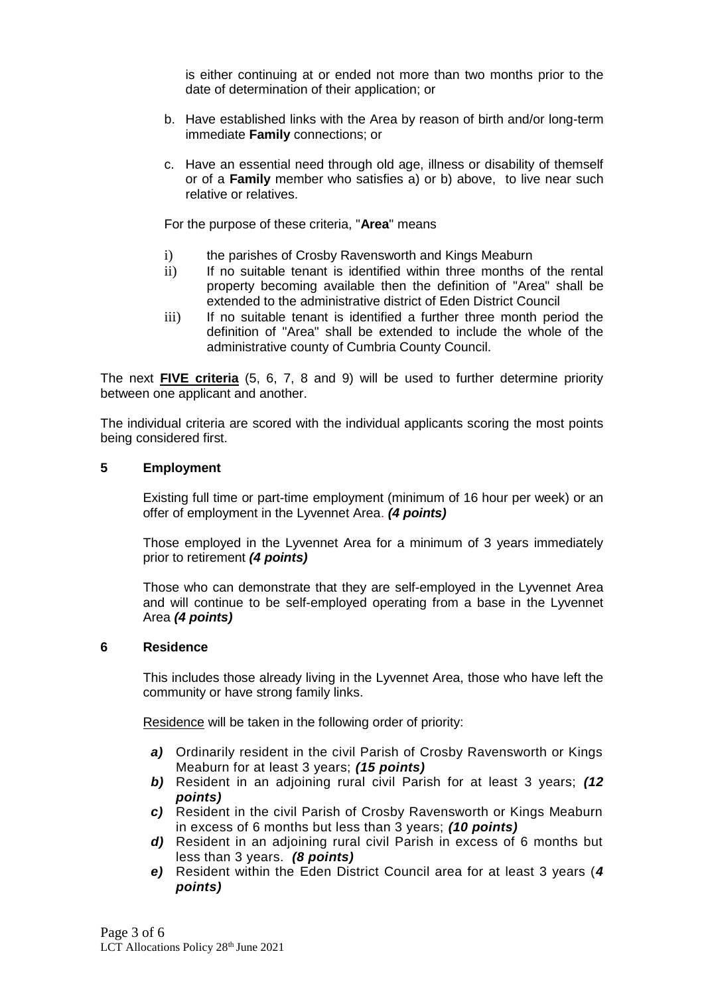is either continuing at or ended not more than two months prior to the date of determination of their application; or

- b. Have established links with the Area by reason of birth and/or long-term immediate **Family** connections; or
- c. Have an essential need through old age, illness or disability of themself or of a **Family** member who satisfies a) or b) above,to live near such relative or relatives.

For the purpose of these criteria, "**Area**" means

- i) the parishes of Crosby Ravensworth and Kings Meaburn
- ii) If no suitable tenant is identified within three months of the rental property becoming available then the definition of "Area" shall be extended to the administrative district of Eden District Council
- iii) If no suitable tenant is identified a further three month period the definition of "Area" shall be extended to include the whole of the administrative county of Cumbria County Council.

The next **FIVE criteria** (5, 6, 7, 8 and 9) will be used to further determine priority between one applicant and another.

The individual criteria are scored with the individual applicants scoring the most points being considered first.

### **5 Employment**

Existing full time or part-time employment (minimum of 16 hour per week) or an offer of employment in the Lyvennet Area. *(4 points)*

Those employed in the Lyvennet Area for a minimum of 3 years immediately prior to retirement *(4 points)*

Those who can demonstrate that they are self-employed in the Lyvennet Area and will continue to be self-employed operating from a base in the Lyvennet Area *(4 points)*

### **6 Residence**

This includes those already living in the Lyvennet Area, those who have left the community or have strong family links.

Residence will be taken in the following order of priority:

- *a)* Ordinarily resident in the civil Parish of Crosby Ravensworth or Kings Meaburn for at least 3 years; *(15 points)*
- *b)* Resident in an adjoining rural civil Parish for at least 3 years; *(12 points)*
- *c)* Resident in the civil Parish of Crosby Ravensworth or Kings Meaburn in excess of 6 months but less than 3 years; *(10 points)*
- *d)* Resident in an adjoining rural civil Parish in excess of 6 months but less than 3 years. *(8 points)*
- *e)* Resident within the Eden District Council area for at least 3 years (*4 points)*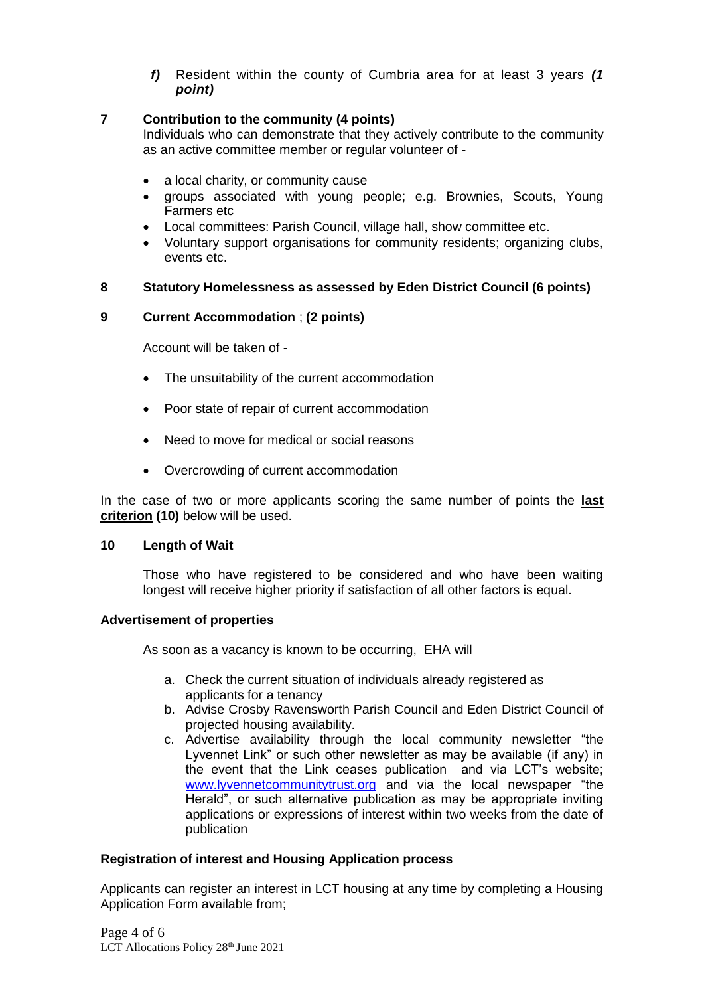*f)* Resident within the county of Cumbria area for at least 3 years *(1 point)*

# **7 Contribution to the community (4 points)**

Individuals who can demonstrate that they actively contribute to the community as an active committee member or regular volunteer of -

- a local charity, or community cause
- groups associated with young people; e.g. Brownies, Scouts, Young Farmers etc
- Local committees: Parish Council, village hall, show committee etc.
- Voluntary support organisations for community residents; organizing clubs, events etc.

# **8 Statutory Homelessness as assessed by Eden District Council (6 points)**

# **9 Current Accommodation** ; **(2 points)**

Account will be taken of -

- The unsuitability of the current accommodation
- Poor state of repair of current accommodation
- Need to move for medical or social reasons
- Overcrowding of current accommodation

In the case of two or more applicants scoring the same number of points the **last criterion (10)** below will be used.

# **10 Length of Wait**

Those who have registered to be considered and who have been waiting longest will receive higher priority if satisfaction of all other factors is equal.

# **Advertisement of properties**

As soon as a vacancy is known to be occurring, EHA will

- a. Check the current situation of individuals already registered as applicants for a tenancy
- b. Advise Crosby Ravensworth Parish Council and Eden District Council of projected housing availability.
- c. Advertise availability through the local community newsletter "the Lyvennet Link" or such other newsletter as may be available (if any) in the event that the Link ceases publication and via LCT's website; [www.lyvennetcommunitytrust.org](http://www.lyvennetcommunitytrust.org/) and via the local newspaper "the Herald", or such alternative publication as may be appropriate inviting applications or expressions of interest within two weeks from the date of publication

# **Registration of interest and Housing Application process**

Applicants can register an interest in LCT housing at any time by completing a Housing Application Form available from;

Page 4 of 6 LCT Allocations Policy 28<sup>th</sup> June 2021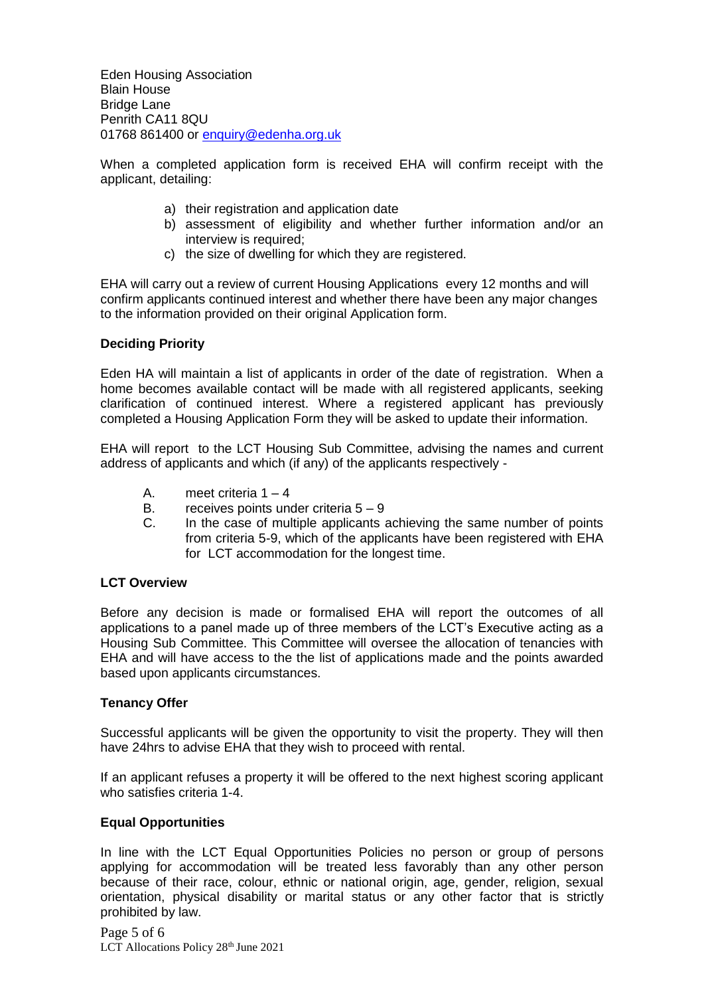Eden Housing Association Blain House Bridge Lane Penrith CA11 8QU 01768 861400 or [enquiry@edenha.org.uk](mailto:enquiry@edenha.org.uk)

When a completed application form is received EHA will confirm receipt with the applicant, detailing:

- a) their registration and application date
- b) assessment of eligibility and whether further information and/or an interview is required;
- c) the size of dwelling for which they are registered.

EHA will carry out a review of current Housing Applications every 12 months and will confirm applicants continued interest and whether there have been any major changes to the information provided on their original Application form.

# **Deciding Priority**

Eden HA will maintain a list of applicants in order of the date of registration. When a home becomes available contact will be made with all registered applicants, seeking clarification of continued interest. Where a registered applicant has previously completed a Housing Application Form they will be asked to update their information.

EHA will report to the LCT Housing Sub Committee, advising the names and current address of applicants and which (if any) of the applicants respectively -

- A. meet criteria  $1 4$
- B. receives points under criteria  $5 9$
- C. In the case of multiple applicants achieving the same number of points from criteria 5-9, which of the applicants have been registered with EHA for LCT accommodation for the longest time.

## **LCT Overview**

Before any decision is made or formalised EHA will report the outcomes of all applications to a panel made up of three members of the LCT's Executive acting as a Housing Sub Committee. This Committee will oversee the allocation of tenancies with EHA and will have access to the the list of applications made and the points awarded based upon applicants circumstances.

### **Tenancy Offer**

Successful applicants will be given the opportunity to visit the property. They will then have 24hrs to advise EHA that they wish to proceed with rental.

If an applicant refuses a property it will be offered to the next highest scoring applicant who satisfies criteria 1-4.

# **Equal Opportunities**

In line with the LCT Equal Opportunities Policies no person or group of persons applying for accommodation will be treated less favorably than any other person because of their race, colour, ethnic or national origin, age, gender, religion, sexual orientation, physical disability or marital status or any other factor that is strictly prohibited by law.